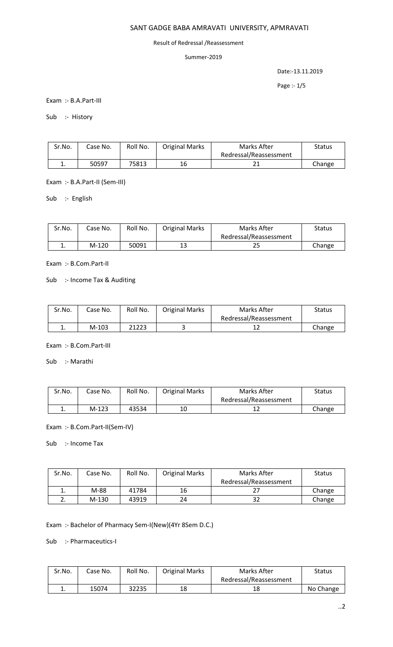# SANT GADGE BABA AMRAVATI UNIVERSITY, APMRAVATI

#### Result of Redressal /Reassessment

### Summer-2019

Date:-13.11.2019

Page :- 1/5

Exam :- B.A.Part-III

Sub :- History

| Sr.No. | Case No. | Roll No. | <b>Original Marks</b> | Marks After            | <b>Status</b> |
|--------|----------|----------|-----------------------|------------------------|---------------|
|        |          |          |                       | Redressal/Reassessment |               |
| . .    | 50597    | 75813    | 16                    | ᅀ                      | Change        |

Exam :- B.A.Part-II (Sem-III)

Sub :- English

| Sr.No. | Case No. | Roll No. | <b>Original Marks</b> | Marks After            | Status |
|--------|----------|----------|-----------------------|------------------------|--------|
|        |          |          |                       | Redressal/Reassessment |        |
| . .    | $M-120$  | 50091    | 13                    | دے                     | Change |

Exam :- B.Com.Part-II

Sub :- Income Tax & Auditing

| Sr.No. | Case No. | Roll No. | <b>Original Marks</b> | Marks After            | Status |
|--------|----------|----------|-----------------------|------------------------|--------|
|        |          |          |                       | Redressal/Reassessment |        |
|        | $M-103$  | 21223    | -                     |                        | Change |

Exam :- B.Com.Part-III

Sub :- Marathi

| Sr.No. | Case No. | Roll No. | <b>Original Marks</b> | Marks After            | Status |
|--------|----------|----------|-----------------------|------------------------|--------|
|        |          |          |                       | Redressal/Reassessment |        |
| ∸.     | $M-123$  | 43534    | 10                    |                        | Change |

Exam :- B.Com.Part-II(Sem-IV)

Sub :- Income Tax

| Sr.No. | Case No. | Roll No. | <b>Original Marks</b> | Marks After            | <b>Status</b> |
|--------|----------|----------|-----------------------|------------------------|---------------|
|        |          |          |                       | Redressal/Reassessment |               |
| ∸.     | M-88     | 41784    | 16                    |                        | Change        |
| ـ.     | $M-130$  | 43919    | 24                    | 32                     | Change        |

Exam :- Bachelor of Pharmacy Sem-I(New)(4Yr 8Sem D.C.)

Sub :- Pharmaceutics-I

| Sr.No. | Case No. | Roll No. | <b>Original Marks</b> | Marks After            | Status    |
|--------|----------|----------|-----------------------|------------------------|-----------|
|        |          |          |                       | Redressal/Reassessment |           |
| . .    | 15074    | 32235    | 18                    | 18                     | No Change |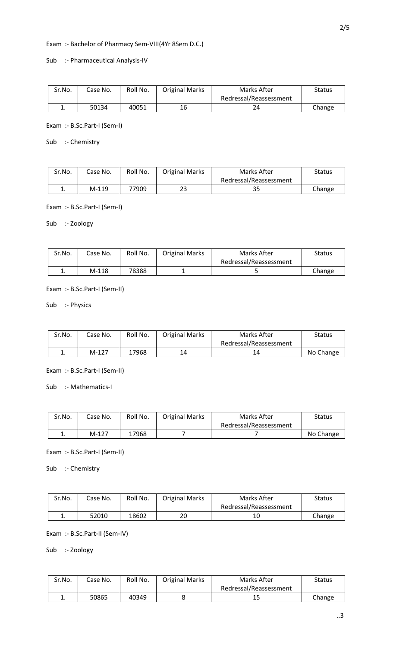Exam :- Bachelor of Pharmacy Sem-VIII(4Yr 8Sem D.C.)

Sub :- Pharmaceutical Analysis-IV

| Sr.No. | Case No. | Roll No. | <b>Original Marks</b> | Marks After            | Status |
|--------|----------|----------|-----------------------|------------------------|--------|
|        |          |          |                       | Redressal/Reassessment |        |
| . .    | 50134    | 40051    | 16                    | 24                     | Change |

Exam :- B.Sc.Part-I (Sem-I)

Sub :- Chemistry

| Sr.No. | Case No. | Roll No. | <b>Original Marks</b> | Marks After            | Status |
|--------|----------|----------|-----------------------|------------------------|--------|
|        |          |          |                       | Redressal/Reassessment |        |
| ∸.     | $M-119$  | 77909    | າາ<br>23              | ر ر                    | Change |

Exam :- B.Sc.Part-I (Sem-I)

Sub :- Zoology

| Sr.No. | Case No. | Roll No. | <b>Original Marks</b> | Marks After            | Status |
|--------|----------|----------|-----------------------|------------------------|--------|
|        |          |          |                       | Redressal/Reassessment |        |
| . .    | $M-118$  | 78388    | -                     |                        | Change |

Exam :- B.Sc.Part-I (Sem-II)

Sub :- Physics

| Sr.No. | Case No. | Roll No. | <b>Original Marks</b> | Marks After            | Status    |
|--------|----------|----------|-----------------------|------------------------|-----------|
|        |          |          |                       | Redressal/Reassessment |           |
| ٠.     | $M-127$  | 17968    | 14                    |                        | No Change |

Exam :- B.Sc.Part-I (Sem-II)

Sub :- Mathematics-I

| Sr.No. | Case No. | Roll No. | <b>Original Marks</b> | Marks After            | <b>Status</b> |
|--------|----------|----------|-----------------------|------------------------|---------------|
|        |          |          |                       | Redressal/Reassessment |               |
|        | M-127    | 17968    |                       |                        | No Change     |

Exam :- B.Sc.Part-I (Sem-II)

Sub :- Chemistry

| Sr.No.   | Case No. | Roll No. | <b>Original Marks</b> | Marks After            | Status |
|----------|----------|----------|-----------------------|------------------------|--------|
|          |          |          |                       | Redressal/Reassessment |        |
| <b>.</b> | 52010    | 18602    | 20                    |                        | Change |

Exam :- B.Sc.Part-II (Sem-IV)

Sub :- Zoology

| Sr.No.   | Case No. | Roll No. | <b>Original Marks</b> | Marks After            | <b>Status</b> |
|----------|----------|----------|-----------------------|------------------------|---------------|
|          |          |          |                       | Redressal/Reassessment |               |
| <b>.</b> | 50865    | 40349    |                       | 15                     | Change        |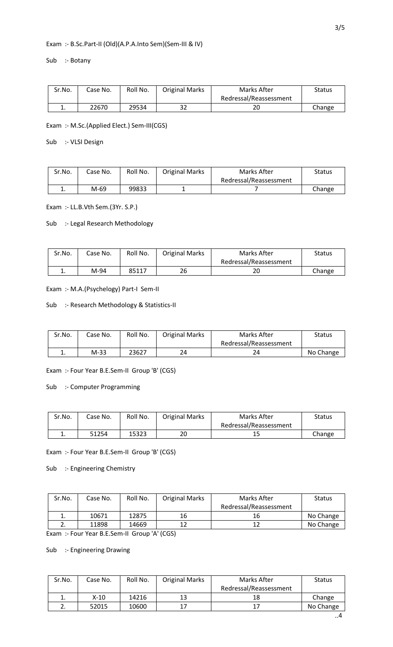# Exam :- B.Sc.Part-II (Old)(A.P.A.Into Sem)(Sem-III & IV)

Sub :- Botany

| Sr.No. | Case No. | Roll No. | <b>Original Marks</b> | Marks After            | Status |
|--------|----------|----------|-----------------------|------------------------|--------|
|        |          |          |                       | Redressal/Reassessment |        |
| ٠.     | 22670    | 29534    | າາ<br>34              | 20                     | Change |

Exam :- M.Sc.(Applied Elect.) Sem-III(CGS)

Sub :- VLSI Design

| Sr.No.   | Case No. | Roll No. | <b>Original Marks</b> | Marks After            | Status |
|----------|----------|----------|-----------------------|------------------------|--------|
|          |          |          |                       | Redressal/Reassessment |        |
| <b>.</b> | M-69     | 99833    | -                     |                        | Change |

Exam :- LL.B.Vth Sem.(3Yr. S.P.)

#### Sub :- Legal Research Methodology

| Sr.No. | Case No. | Roll No. | <b>Original Marks</b> | Marks After            | Status |
|--------|----------|----------|-----------------------|------------------------|--------|
|        |          |          |                       | Redressal/Reassessment |        |
| ᆠ.     | M-94     | 85117    | 26                    | 20                     | Change |

Exam :- M.A.(Psychelogy) Part-I Sem-II

#### Sub :- Research Methodology & Statistics-II

| Sr.No. | Case No. | Roll No. | <b>Original Marks</b> | Marks After            | <b>Status</b> |
|--------|----------|----------|-----------------------|------------------------|---------------|
|        |          |          |                       | Redressal/Reassessment |               |
| ᆠ.     | $M-33$   | 23627    | 24                    | 24                     | No Change     |

Exam :- Four Year B.E.Sem-II Group 'B' (CGS)

Sub :- Computer Programming

| Sr.No. | Case No. | Roll No. | <b>Original Marks</b> | Marks After            | Status |
|--------|----------|----------|-----------------------|------------------------|--------|
|        |          |          |                       | Redressal/Reassessment |        |
| . .    | 51254    | 15323    | 20                    | ᅩ                      | Change |

#### Exam :- Four Year B.E.Sem-II Group 'B' (CGS)

Sub :- Engineering Chemistry

| Sr.No.   | Case No. | Roll No. | <b>Original Marks</b> | Marks After            | <b>Status</b> |
|----------|----------|----------|-----------------------|------------------------|---------------|
|          |          |          |                       | Redressal/Reassessment |               |
|          | 10671    | 12875    | 16                    | 16                     | No Change     |
| <u>.</u> | 11898    | 14669    |                       | 17                     | No Change     |
|          |          |          |                       |                        |               |

Exam :- Four Year B.E.Sem-II Group 'A' (CGS)

# Sub :- Engineering Drawing

| Sr.No. | Case No. | Roll No. | <b>Original Marks</b> | Marks After            | <b>Status</b> |
|--------|----------|----------|-----------------------|------------------------|---------------|
|        |          |          |                       | Redressal/Reassessment |               |
|        | X-10     | 14216    | 13                    | 18                     | Change        |
|        | 52015    | 10600    |                       |                        | No Change     |

..4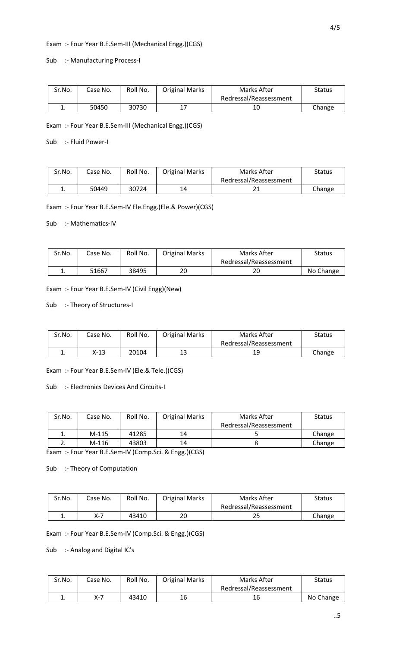### Exam :- Four Year B.E.Sem-III (Mechanical Engg.)(CGS)

#### Sub :- Manufacturing Process-I

| Sr.No. | Case No. | Roll No. | <b>Original Marks</b> | Marks After            | Status |
|--------|----------|----------|-----------------------|------------------------|--------|
|        |          |          |                       | Redressal/Reassessment |        |
| . .    | 50450    | 30730    | 17                    | 10                     | Change |

Exam :- Four Year B.E.Sem-III (Mechanical Engg.)(CGS)

Sub :- Fluid Power-I

| Sr.No. | Case No. | Roll No. | <b>Original Marks</b> | Marks After            | Status |
|--------|----------|----------|-----------------------|------------------------|--------|
|        |          |          |                       | Redressal/Reassessment |        |
| . .    | 50449    | 30724    | 14                    | ᅀ                      | Change |

Exam :- Four Year B.E.Sem-IV Ele.Engg.(Ele.& Power)(CGS)

Sub :- Mathematics-IV

| Sr.No. | Case No. | Roll No. | <b>Original Marks</b> | Marks After            | Status    |
|--------|----------|----------|-----------------------|------------------------|-----------|
|        |          |          |                       | Redressal/Reassessment |           |
| . .    | 51667    | 38495    | 20                    | 20                     | No Change |

Exam :- Four Year B.E.Sem-IV (Civil Engg)(New)

Sub :- Theory of Structures-I

| Sr.No. | Case No. | Roll No. | <b>Original Marks</b> | Marks After            | Status |
|--------|----------|----------|-----------------------|------------------------|--------|
|        |          |          |                       | Redressal/Reassessment |        |
| . .    | X-13     | 20104    | 13                    | 1 O<br>ᅩ               | Change |

Exam :- Four Year B.E.Sem-IV (Ele.& Tele.)(CGS)

Sub :- Electronics Devices And Circuits-I

| Sr.No.   | Case No. | Roll No. | <b>Original Marks</b> | Marks After            | <b>Status</b> |
|----------|----------|----------|-----------------------|------------------------|---------------|
|          |          |          |                       | Redressal/Reassessment |               |
| ∸.       | $M-115$  | 41285    | 14                    |                        | Change        |
| <u>.</u> | $M-116$  | 43803    | 14                    |                        | Change        |

Exam :- Four Year B.E.Sem-IV (Comp.Sci. & Engg.)(CGS)

Sub :- Theory of Computation

| Sr.No. | Case No. | Roll No. | <b>Original Marks</b> | Marks After            | <b>Status</b> |
|--------|----------|----------|-----------------------|------------------------|---------------|
|        |          |          |                       | Redressal/Reassessment |               |
|        |          | 43410    | 20                    | 23                     | Change        |

Exam :- Four Year B.E.Sem-IV (Comp.Sci. & Engg.)(CGS)

Sub :- Analog and Digital IC's

| Sr.No. | Case No. | Roll No. | <b>Original Marks</b> | Marks After            | <b>Status</b> |
|--------|----------|----------|-----------------------|------------------------|---------------|
|        |          |          |                       | Redressal/Reassessment |               |
| . .    | $\vee$ 7 | 43410    | 16                    | 16                     | No Change     |